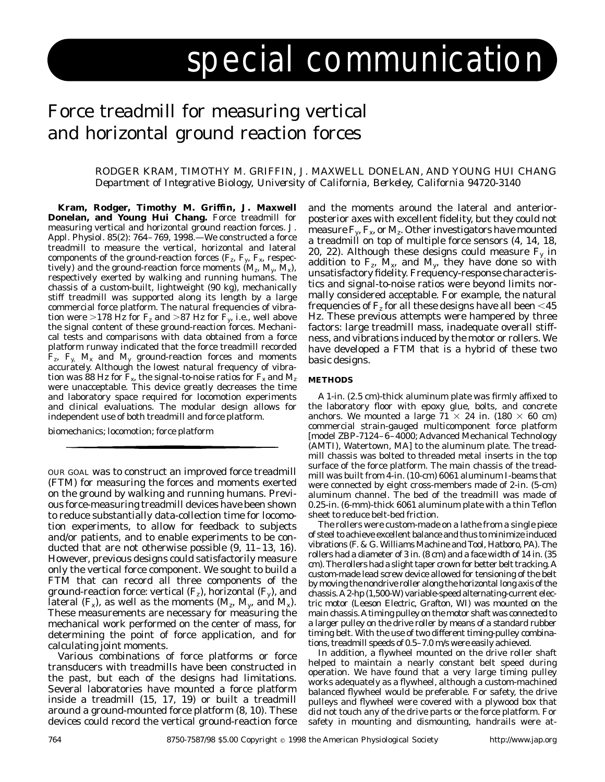# special communication

## Force treadmill for measuring vertical and horizontal ground reaction forces

### RODGER KRAM, TIMOTHY M. GRIFFIN, J. MAXWELL DONELAN, AND YOUNG HUI CHANG *Department of Integrative Biology, University of California, Berkeley, California 94720-3140*

**Kram, Rodger, Timothy M. Griffin, J. Maxwell Donelan, and Young Hui Chang.** Force treadmill for measuring vertical and horizontal ground reaction forces. *J. Appl. Physiol.* 85(2): 764–769, 1998.—We constructed a force treadmill to measure the vertical, horizontal and lateral components of the ground-reaction forces ( $F_z$ ,  $F_y$ ,  $F_x$ , respectively) and the ground-reaction force moments  $(M_z, M_y, M_x)$ , respectively exerted by walking and running humans. The chassis of a custom-built, lightweight (90 kg), mechanically stiff treadmill was supported along its length by a large commercial force platform. The natural frequencies of vibration were >178 Hz for  $F_z$  and >87 Hz for  $F_y$ , i.e., well above the signal content of these ground-reaction forces. Mechanical tests and comparisons with data obtained from a force platform runway indicated that the force treadmill recorded  $\mathbf{\hat{F}}_z$ ,  $\mathbf{F}_y$ ,  $\mathbf{M}_x$  and  $\mathbf{M}_y$  ground-reaction forces and moments accurately. Although the lowest natural frequency of vibration was 88 Hz for  $F_x$ , the signal-to-noise ratios for  $F_x$  and  $M_z$ were unacceptable. This device greatly decreases the time and laboratory space required for locomotion experiments and clinical evaluations. The modular design allows for independent use of both treadmill and force platform.

biomechanics; locomotion; force platform

OUR GOAL was to construct an improved force treadmill (FTM) for measuring the forces and moments exerted on the ground by walking and running humans. Previous force-measuring treadmill devices have been shown to reduce substantially data-collection time for locomotion experiments, to allow for feedback to subjects and/or patients, and to enable experiments to be conducted that are not otherwise possible (9, 11–13, 16). However, previous designs could satisfactorily measure only the vertical force component. We sought to build a FTM that can record all three components of the ground-reaction force: vertical (F*z*), horizontal (F*y*), and lateral  $(F_x)$ , as well as the moments  $(M_x, M_y, \text{and } M_x)$ . These measurements are necessary for measuring the mechanical work performed on the center of mass, for determining the point of force application, and for calculating joint moments.

Various combinations of force platforms or force transducers with treadmills have been constructed in the past, but each of the designs had limitations. Several laboratories have mounted a force platform inside a treadmill (15, 17, 19) or built a treadmill around a ground-mounted force platform (8, 10). These devices could record the vertical ground-reaction force

and the moments around the lateral and anteriorposterior axes with excellent fidelity, but they could not measure  $F_\nu$ ,  $F_\nu$ , or  $M_\nu$ . Other investigators have mounted a treadmill on top of multiple force sensors (4, 14, 18, 20, 22). Although these designs could measure  $F_v$  in addition to  $F_z$ ,  $M_x$ , and  $M_y$ , they have done so with unsatisfactory fidelity. Frequency-response characteristics and signal-to-noise ratios were beyond limits normally considered acceptable. For example, the natural frequencies of  $F_z$  for all these designs have all been  $\leq 45$ Hz. These previous attempts were hampered by three factors: large treadmill mass, inadequate overall stiffness, and vibrations induced by the motor or rollers. We have developed a FTM that is a hybrid of these two basic designs.

#### **METHODS**

A 1-in. (2.5 cm)-thick aluminum plate was firmly affixed to the laboratory floor with epoxy glue, bolts, and concrete anchors. We mounted a large  $71 \times 24$  in. (180  $\times$  60 cm) commercial strain-gauged multicomponent force platform [model ZBP-7124–6–4000; Advanced Mechanical Technology (AMTI), Watertown, MA] to the aluminum plate. The treadmill chassis was bolted to threaded metal inserts in the top surface of the force platform. The main chassis of the treadmill was built from 4-in. (10-cm) 6061 aluminum I-beams that were connected by eight cross-members made of 2-in. (5-cm) aluminum channel. The bed of the treadmill was made of 0.25-in. (6-mm)-thick 6061 aluminum plate with a thin Teflon sheet to reduce belt-bed friction.

The rollers were custom-made on a lathe from a single piece of steel to achieve excellent balance and thus to minimize induced vibrations (F. & G. Williams Machine and Tool, Hatboro, PA). The rollers had a diameter of 3 in. (8 cm) and a face width of 14 in. (35 cm). The rollers had a slight taper crown for better belt tracking.A custom-made lead screw device allowed for tensioning of the belt by moving the nondrive roller along the horizontal long axis of the chassis.A2-hp (1,500-W) variable-speed alternating-current electric motor (Leeson Electric, Grafton, WI) was mounted on the main chassis.Atiming pulley on the motor shaft was connected to a larger pulley on the drive roller by means of a standard rubber timing belt. With the use of two different timing-pulley combinations, treadmill speeds of 0.5–7.0 m/s were easily achieved.

In addition, a flywheel mounted on the drive roller shaft helped to maintain a nearly constant belt speed during operation. We have found that a very large timing pulley works adequately as a flywheel, although a custom-machined balanced flywheel would be preferable. For safety, the drive pulleys and flywheel were covered with a plywood box that did not touch any of the drive parts or the force platform. For safety in mounting and dismounting, handrails were at-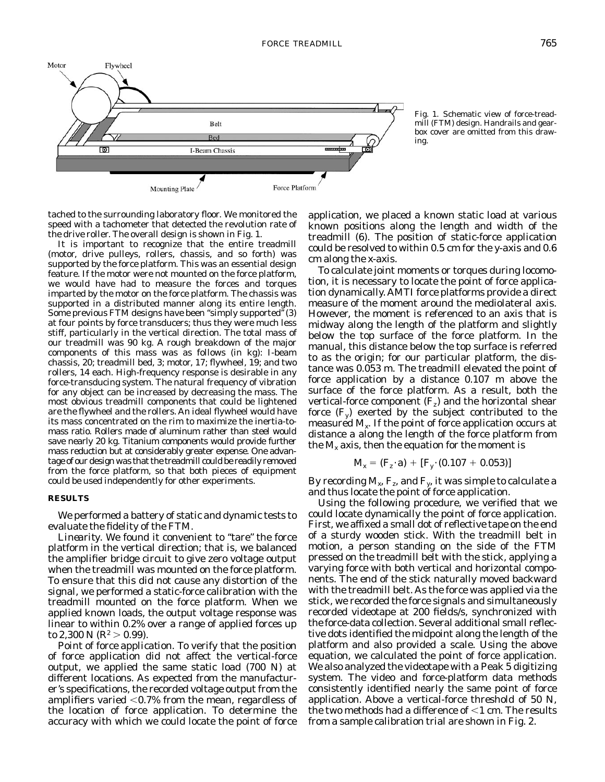



tached to the surrounding laboratory floor. We monitored the speed with a tachometer that detected the revolution rate of the drive roller. The overall design is shown in Fig. 1.

It is important to recognize that the entire treadmill (motor, drive pulleys, rollers, chassis, and so forth) was supported by the force platform. This was an essential design feature. If the motor were not mounted on the force platform, we would have had to measure the forces and torques imparted by the motor on the force platform. The chassis was supported in a distributed manner along its entire length. Some previous FTM designs have been "simply supported" (3) at four points by force transducers; thus they were much less stiff, particularly in the vertical direction. The total mass of our treadmill was 90 kg. A rough breakdown of the major components of this mass was as follows (in kg): I-beam chassis, 20; treadmill bed, 3; motor, 17; flywheel, 19; and two rollers, 14 each. High-frequency response is desirable in any force-transducing system. The natural frequency of vibration for any object can be increased by decreasing the mass. The most obvious treadmill components that could be lightened are the flywheel and the rollers. An ideal flywheel would have its mass concentrated on the rim to maximize the inertia-tomass ratio. Rollers made of aluminum rather than steel would save nearly 20 kg. Titanium components would provide further mass reduction but at considerably greater expense. One advantage of our design was that the treadmill could be readily removed from the force platform, so that both pieces of equipment could be used independently for other experiments.

#### **RESULTS**

We performed a battery of static and dynamic tests to evaluate the fidelity of the FTM.

Linearity. We found it convenient to "tare" the force platform in the vertical direction; that is, we balanced the amplifier bridge circuit to give zero voltage output when the treadmill was mounted on the force platform. To ensure that this did not cause any distortion of the signal, we performed a static-force calibration with the treadmill mounted on the force platform. When we applied known loads, the output voltage response was linear to within 0.2% over a range of applied forces up to 2,300 N ( $R^2 > 0.99$ ).

*Point of force application.* To verify that the position of force application did not affect the vertical-force output, we applied the same static load (700 N) at different locations. As expected from the manufacturer's specifications, the recorded voltage output from the amplifiers varied  $<$  0.7% from the mean, regardless of the location of force application. To determine the accuracy with which we could locate the point of force

application, we placed a known static load at various known positions along the length and width of the treadmill (6). The position of static-force application could be resolved to within 0.5 cm for the *y*-axis and 0.6 cm along the *x*-axis.

To calculate joint moments or torques during locomotion, it is necessary to locate the point of force application dynamically. AMTI force platforms provide a direct measure of the moment around the mediolateral axis. However, the moment is referenced to an axis that is midway along the length of the platform and slightly below the top surface of the force platform. In the manual, this distance below the top surface is referred to as the origin; for our particular platform, the distance was 0.053 m. The treadmill elevated the point of force application by a distance 0.107 m above the surface of the force platform. As a result, both the vertical-force component (F*z*) and the horizontal shear force  $(F_v)$  exerted by the subject contributed to the measured M*x*. If the point of force application occurs at distance *a* along the length of the force platform from the  $M_x$  axis, then the equation for the moment is

$$
M_x = (F_z \cdot a) + [F_y \cdot (0.107 + 0.053)]
$$

By recording M*x*, F*z*, and F*y*, it was simple to calculate *a* and thus locate the point of force application.

Using the following procedure, we verified that we could locate dynamically the point of force application. First, we affixed a small dot of reflective tape on the end of a sturdy wooden stick. With the treadmill belt in motion, a person standing on the side of the FTM pressed on the treadmill belt with the stick, applying a varying force with both vertical and horizontal components. The end of the stick naturally moved backward with the treadmill belt. As the force was applied via the stick, we recorded the force signals and simultaneously recorded videotape at 200 fields/s, synchronized with the force-data collection. Several additional small reflective dots identified the midpoint along the length of the platform and also provided a scale. Using the above equation, we calculated the point of force application. We also analyzed the videotape with a Peak 5 digitizing system. The video and force-platform data methods consistently identified nearly the same point of force application. Above a vertical-force threshold of 50 N, the two methods had a difference of  $<$ 1 cm. The results from a sample calibration trial are shown in Fig. 2.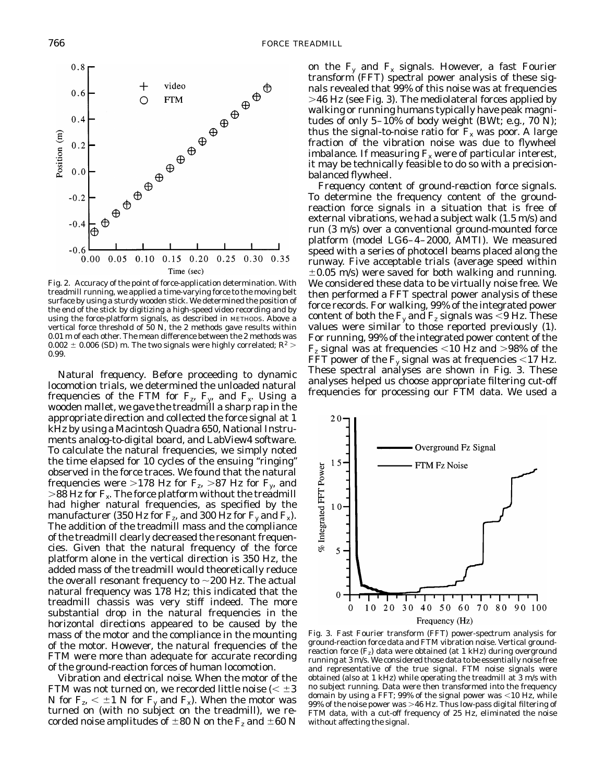

Fig. 2. Accuracy of the point of force-application determination. With treadmill running, we applied a time-varying force to the moving belt surface by using a sturdy wooden stick. We determined the position of the end of the stick by digitizing a high-speed video recording and by using the force-platform signals, as described in METHODS. Above a vertical force threshold of 50 N, the 2 methods gave results within 0.01 m of each other. The mean difference between the 2 methods was  $0.002 \pm 0.006$  (SD) m. The two signals were highly correlated;  $R^2$  > 0.99.

*Natural frequency.* Before proceeding to dynamic locomotion trials, we determined the unloaded natural frequencies of the FTM for  $F_z$ ,  $F_y$ , and  $F_x$ . Using a wooden mallet, we gave the treadmill a sharp rap in the appropriate direction and collected the force signal at 1 kHz by using a Macintosh Quadra 650, National Instruments analog-to-digital board, and LabView4 software. To calculate the natural frequencies, we simply noted the time elapsed for 10 cycles of the ensuing ''ringing'' observed in the force traces. We found that the natural frequencies were  $>178$  Hz for F<sub>z</sub>  $>87$  Hz for F<sub>y</sub>, and  $>$ 88 Hz for  $F_x$ . The force platform without the treadmill had higher natural frequencies, as specified by the manufacturer (350 Hz for  $F_z$ , and 300 Hz for  $F_y$  and  $F_x$ ). The addition of the treadmill mass and the compliance of the treadmill clearly decreased the resonant frequencies. Given that the natural frequency of the force platform alone in the vertical direction is 350 Hz, the added mass of the treadmill would theoretically reduce the overall resonant frequency to  $\sim$  200 Hz. The actual natural frequency was 178 Hz; this indicated that the treadmill chassis was very stiff indeed. The more substantial drop in the natural frequencies in the horizontal directions appeared to be caused by the mass of the motor and the compliance in the mounting of the motor. However, the natural frequencies of the FTM were more than adequate for accurate recording of the ground-reaction forces of human locomotion.

*Vibration and electrical noise.* When the motor of the FTM was not turned on, we recorded little noise ( $< \pm 3$ N for  $F_z < \pm 1$  N for  $F_y$  and  $F_x$ ). When the motor was turned on (with no subject on the treadmill), we recorded noise amplitudes of  $\pm 80$  N on the F<sub>z</sub> and  $\pm 60$  N on the  $F_v$  and  $F_x$  signals. However, a fast Fourier transform (FFT) spectral power analysis of these signals revealed that 99% of this noise was at frequencies .46 Hz (see Fig. 3). The mediolateral forces applied by walking or running humans typically have peak magnitudes of only 5–10% of body weight (BWt; e.g., 70 N); thus the signal-to-noise ratio for  $F<sub>x</sub>$  was poor. A large fraction of the vibration noise was due to flywheel imbalance. If measuring  $F_x$  were of particular interest, it may be technically feasible to do so with a precisionbalanced flywheel.

*Frequency content of ground-reaction force signals.* To determine the frequency content of the groundreaction force signals in a situation that is free of external vibrations, we had a subject walk (1.5 m/s) and run (3 m/s) over a conventional ground-mounted force platform (model LG6–4–2000, AMTI). We measured speed with a series of photocell beams placed along the runway. Five acceptable trials (average speed within  $\pm 0.05$  m/s) were saved for both walking and running. We considered these data to be virtually noise free. We then performed a FFT spectral power analysis of these force records. For walking, 99% of the integrated power content of both the  $F_v$  and  $F_z$  signals was  $\leq 9$  Hz. These values were similar to those reported previously (1). For running, 99% of the integrated power content of the  $F<sub>z</sub>$  signal was at frequencies  $<$ 10 Hz and  $>$ 98% of the FFT power of the  $F_v$  signal was at frequencies  $<$ 17 Hz. These spectral analyses are shown in Fig. 3. These analyses helped us choose appropriate filtering cut-off frequencies for processing our FTM data. We used a



Fig. 3. Fast Fourier transform (FFT) power-spectrum analysis for ground-reaction force data and FTM vibration noise. Vertical groundreaction force  $(F_z)$  data were obtained (at 1 kHz) during overground running at 3 m/s. We considered those data to be essentially noise free and representative of the true signal. FTM noise signals were obtained (also at 1 kHz) while operating the treadmill at 3 m/s with no subject running. Data were then transformed into the frequency domain by using a FFT; 99% of the signal power was  $<$  10 Hz, while  $99\%$  of the noise power was  $>46$  Hz. Thus low-pass digital filtering of FTM data, with a cut-off frequency of 25 Hz, eliminated the noise without affecting the signal.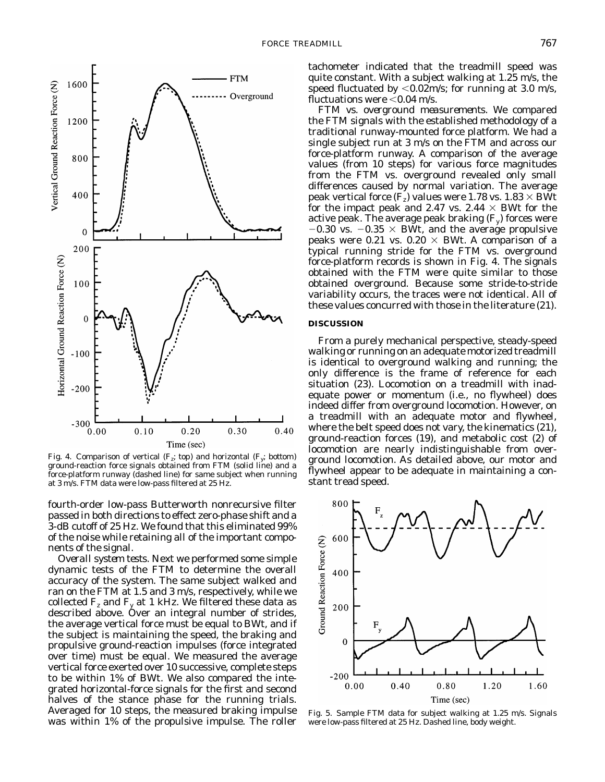

Fig. 4. Comparison of vertical (F*z*; *top*) and horizontal (F*y*; *bottom*) ground-reaction force signals obtained from FTM (solid line) and a force-platform runway (dashed line) for same subject when running at 3 m/s. FTM data were low-pass filtered at 25 Hz.

fourth-order low-pass Butterworth nonrecursive filter passed in both directions to effect zero-phase shift and a 3-dB cutoff of 25 Hz. We found that this eliminated 99% of the noise while retaining all of the important components of the signal.

*Overall system tests.* Next we performed some simple dynamic tests of the FTM to determine the overall accuracy of the system. The same subject walked and ran on the FTM at 1.5 and 3 m/s, respectively, while we collected  $F_z$  and  $F_y$  at 1 kHz. We filtered these data as described above. Over an integral number of strides, the average vertical force must be equal to BWt, and if the subject is maintaining the speed, the braking and propulsive ground-reaction impulses (force integrated over time) must be equal. We measured the average vertical force exerted over 10 successive, complete steps to be within 1% of BWt. We also compared the integrated horizontal-force signals for the first and second halves of the stance phase for the running trials. Averaged for 10 steps, the measured braking impulse was within 1% of the propulsive impulse. The roller

tachometer indicated that the treadmill speed was quite constant. With a subject walking at 1.25 m/s, the speed fluctuated by  $<$  0.02m/s; for running at 3.0 m/s, fluctuations were  $<$  0.04 m/s.

*FTM vs. overground measurements.* We compared the FTM signals with the established methodology of a traditional runway-mounted force platform. We had a single subject run at 3 m/s on the FTM and across our force-platform runway. A comparison of the average values (from 10 steps) for various force magnitudes from the FTM vs. overground revealed only small differences caused by normal variation. The average peak vertical force  $(F_z)$  values were 1.78 vs. 1.83  $\times$  BWt for the impact peak and 2.47 vs. 2.44  $\times$  BWt for the active peak. The average peak braking (F*y*) forces were  $-0.30$  vs.  $-0.35 \times BW$ , and the average propulsive peaks were 0.21 vs.  $0.20 \times B Wt$ . A comparison of a typical running stride for the FTM vs. overground force-platform records is shown in Fig. 4. The signals obtained with the FTM were quite similar to those obtained overground. Because some stride-to-stride variability occurs, the traces were not identical. All of these values concurred with those in the literature (21).

#### **DISCUSSION**

From a purely mechanical perspective, steady-speed walking or running on an adequate motorized treadmill is identical to overground walking and running; the only difference is the frame of reference for each situation (23). Locomotion on a treadmill with inadequate power or momentum (i.e., no flywheel) does indeed differ from overground locomotion. However, on a treadmill with an adequate motor and flywheel, where the belt speed does not vary, the kinematics (21), ground-reaction forces (19), and metabolic cost (2) of locomotion are nearly indistinguishable from overground locomotion. As detailed above, our motor and flywheel appear to be adequate in maintaining a constant tread speed.



Fig. 5. Sample FTM data for subject walking at 1.25 m/s. Signals were low-pass filtered at 25 Hz. Dashed line, body weight.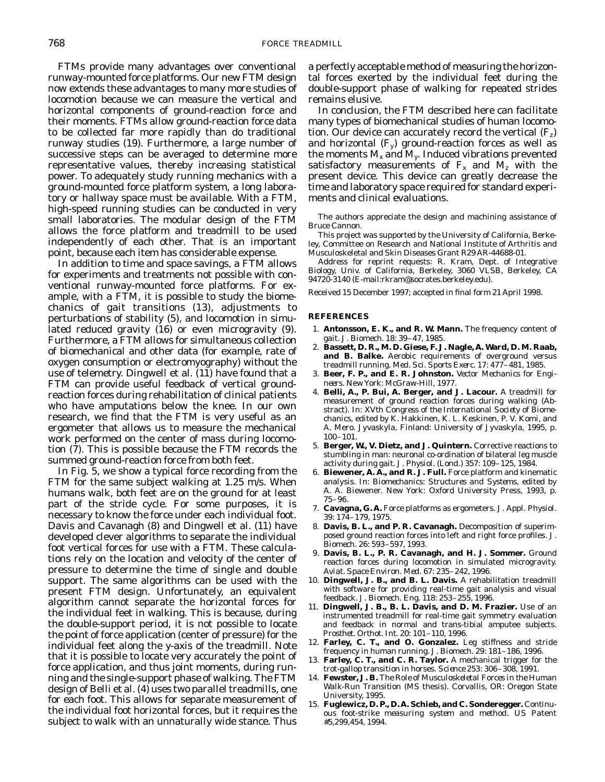FTMs provide many advantages over conventional runway-mounted force platforms. Our new FTM design now extends these advantages to many more studies of locomotion because we can measure the vertical and horizontal components of ground-reaction force and their moments. FTMs allow ground-reaction force data to be collected far more rapidly than do traditional runway studies (19). Furthermore, a large number of successive steps can be averaged to determine more representative values, thereby increasing statistical power. To adequately study running mechanics with a ground-mounted force platform system, a long laboratory or hallway space must be available. With a FTM, high-speed running studies can be conducted in very small laboratories. The modular design of the FTM allows the force platform and treadmill to be used independently of each other. That is an important point, because each item has considerable expense.

In addition to time and space savings, a FTM allows for experiments and treatments not possible with conventional runway-mounted force platforms. For example, with a FTM, it is possible to study the biomechanics of gait transitions (13), adjustments to perturbations of stability (5), and locomotion in simulated reduced gravity (16) or even microgravity (9). Furthermore, a FTM allows for simultaneous collection of biomechanical and other data (for example, rate of oxygen consumption or electromyography) without the use of telemetry. Dingwell et al. (11) have found that a FTM can provide useful feedback of vertical groundreaction forces during rehabilitation of clinical patients who have amputations below the knee. In our own research, we find that the FTM is very useful as an ergometer that allows us to measure the mechanical work performed on the center of mass during locomotion (7). This is possible because the FTM records the summed ground-reaction force from both feet.

In Fig. 5, we show a typical force recording from the FTM for the same subject walking at 1.25 m/s. When humans walk, both feet are on the ground for at least part of the stride cycle. For some purposes, it is necessary to know the force under each individual foot. Davis and Cavanagh (8) and Dingwell et al. (11) have developed clever algorithms to separate the individual foot vertical forces for use with a FTM. These calculations rely on the location and velocity of the center of pressure to determine the time of single and double support. The same algorithms can be used with the present FTM design. Unfortunately, an equivalent algorithm cannot separate the horizontal forces for the individual feet in walking. This is because, during the double-support period, it is not possible to locate the point of force application (center of pressure) for the individual feet along the *y*-axis of the treadmill. Note that it is possible to locate very accurately the point of force application, and thus joint moments, during running and the single-support phase of walking. The FTM design of Belli et al. (4) uses two parallel treadmills, one for each foot. This allows for separate measurement of the individual foot horizontal forces, but it requires the subject to walk with an unnaturally wide stance. Thus

a perfectly acceptable method of measuring the horizontal forces exerted by the individual feet during the double-support phase of walking for repeated strides remains elusive.

In conclusion, the FTM described here can facilitate many types of biomechanical studies of human locomotion. Our device can accurately record the vertical (F*z*) and horizontal (F*y*) ground-reaction forces as well as the moments  $M_x$  and  $M_y$ . Induced vibrations prevented satisfactory measurements of  $F_x$  and  $M_z$  with the present device. This device can greatly decrease the time and laboratory space required for standard experiments and clinical evaluations.

The authors appreciate the design and machining assistance of Bruce Cannon.

This project was supported by the University of California, Berkeley, Committee on Research and National Institute of Arthritis and Musculoskeletal and Skin Diseases Grant R29 AR-44688-01.

Address for reprint requests: R. Kram, Dept. of Integrative Biology, Univ. of California, Berkeley, 3060 VLSB, Berkeley, CA 94720-3140 (E-mail:rkram@socrates.berkeley.edu).

Received 15 December 1997; accepted in final form 21 April 1998.

#### **REFERENCES**

- 1. **Antonsson, E. K., and R. W. Mann.** The frequency content of gait. *J. Biomech*. 18: 39–47, 1985.
- 2. **Bassett, D. R., M. D. Giese, F. J. Nagle, A. Ward, D. M. Raab, and B. Balke.** Aerobic requirements of overground versus treadmill running. *Med. Sci. Sports Exerc*. 17: 477–481, 1985.
- 3. **Beer, F. P., and E. R. Johnston.** *Vector Mechanics for Engineers*. New York: McGraw-Hill, 1977.
- 4. **Belli, A., P. Bui, A. Berger, and J. Lacour.** A treadmill for measurement of ground reaction forces during walking (Abstract). In: *XVth Congress of the International Society of Biomechanics,* edited by K. Hakkinen, K. L. Keskinen, P. V. Komi, and A. Mero. Jyvaskyla, Finland: University of Jyvaskyla, 1995, p. 100–101.
- 5. **Berger, W., V. Dietz, and J. Quintern.** Corrective reactions to stumbling in man: neuronal co-ordination of bilateral leg muscle activity during gait. *J. Physiol. (Lond.)* 357: 109–125, 1984.
- 6. **Biewener, A. A., and R. J. Full.** Force platform and kinematic analysis. In: *Biomechanics: Structures and Systems,* edited by A. A. Biewener. New York: Oxford University Press, 1993, p. 75–96.
- 7. **Cavagna, G. A.** Force platforms as ergometers. *J. Appl. Physiol*. 39: 174–179, 1975.
- 8. **Davis, B. L., and P. R. Cavanagh.** Decomposition of superimposed ground reaction forces into left and right force profiles. *J. Biomech*. 26: 593–597, 1993.
- 9. **Davis, B. L., P. R. Cavanagh, and H. J. Sommer.** Ground reaction forces during locomotion in simulated microgravity. *Aviat. Space Environ. Med*. 67: 235–242, 1996.
- 10. **Dingwell, J. B., and B. L. Davis.** A rehabilitation treadmill with software for providing real-time gait analysis and visual feedback. *J. Biomech. Eng.* 118: 253–255, 1996.
- 11. **Dingwell, J. B., B. L. Davis, and D. M. Frazier.** Use of an instrumented treadmill for real-time gait symmetry evaluation and feedback in normal and trans-tibial amputee subjects. *Prosthet. Orthot. Int.* 20: 101–110, 1996.
- 12. **Farley, C. T., and O. Gonzalez.** Leg stiffness and stride frequency in human running. *J. Biomech*. 29: 181–186, 1996.
- 13. **Farley, C. T., and C. R. Taylor.** A mechanical trigger for the trot-gallop transition in horses. *Science* 253: 306–308, 1991.
- 14. **Fewster, J. B.** *The Role of Musculoskeletal Forces in the Human Walk-Run Transition* (MS thesis). Corvallis, OR: Oregon State University, 1995.
- 15. **Fuglewicz, D. P., D. A. Schieb, and C. Sonderegger.** *Continuous foot-strike measuring system and method*. US Patent #5,299,454, 1994.